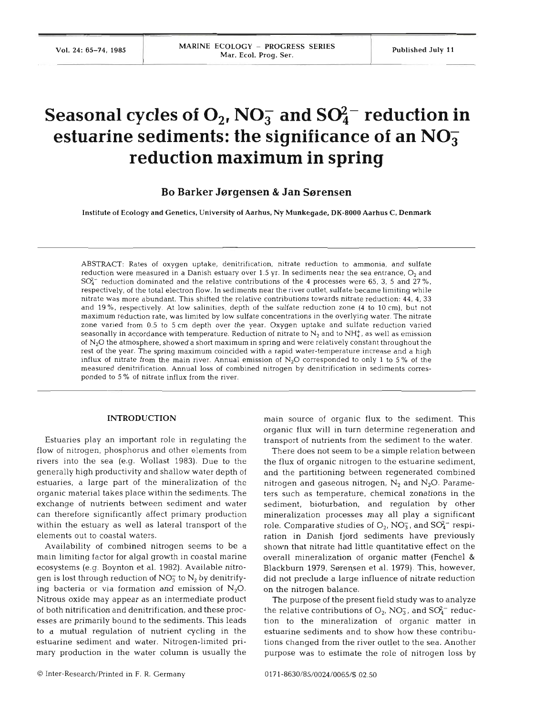# **Seasonal cycles of**  $O_2$ **, NO<sub>3</sub> and SO<sub>4</sub><sup>-</sup> reduction in estuarine sediments: the significance of an NO; reduction maximum in spring**

**Bo Barker Jsrgensen** & **Jan Ssrensen** 

Institute of Ecology and Genetics, University of Aarhus, Ny Munkegade, **DK-8000** Aarhus C, Denmark

ABSTRACT: Rates of oxygen uptake, denitrification, nitrate reduction to ammonia, and sulfate reduction were measured in a Danish estuary over 1.5 yr. In sediments near the sea entrance,  $O_2$  and  $SO<sub>4</sub><sup>-</sup>$  reduction dominated and the relative contributions of the 4 processes were 65, 3, 5 and 27%, respectively, of the total electron flow. In sediments near the river outlet, sulfate became limiting while nitrate was more abundant. This shifted the relative contributions towards nitrate reduction: 44. 4, **33**  and 19%, respectively. At low salinities, depth of the sulfate reduction zone (4 to 10 cm), but not maximum reduction rate, was limited by low sulfate concentrations in the overlying water. The nitrate zone varied from 0.5 to 5 cm depth over the year. Oxygen uptake and sulfate reduction varied seasonally in accordance with temperature. Reduction of nitrate to  $N_2$  and to  $NH_4^*$ , as well as emission of  $N<sub>2</sub>O$  the atmosphere, showed a short maximum in spring and were relatively constant throughout the rest of the year. The spring maximum coincided with a rapid water-temperature increase and a high influx of nitrate from the main river. Annual emission of  $N<sub>2</sub>O$  corresponded to only 1 to 5% of the measured denitrification. Annual loss of combined nitrogen by denitrification in sediments corresponded to 5 % of nitrate influx from the river.

# **INTRODUCTION**

Estuaries play an important role in regulating the flow of nitrogen, phosphorus and other elements from rivers into the sea (e.g. Wollast 1983). Due to the generally high productivity and shallow water depth of estuaries, a large part of the mineralization of the organic material takes place within the sediments. The exchange of nutrients between sediment and water can therefore significantly affect primary production within the estuary as well as lateral transport of the elements out to coastal waters.

Availability of combined nitrogen seems to be a main limiting factor for algal growth in coastal marine ecosystems (e.g. Boynton et al. 1982). Available nitrogen is lost through reduction of  $NO_3^-$  to  $N_2$  by denitrifying bacteria or via formation and emission of  $N_2O$ . Nitrous oxide may appear as an intermediate product of both nitrification and denitrification, and these processes are primarily bound to the sediments. This leads to a mutual regulation of nutrient cycling in the estuarine sediment and water. Nitrogen-limited primary production in the water column is usually the

main source of organic flux to the sediment. This organic flux will in turn determine regeneration and transport of nutrients from the sediment to the water.

There does not seem to be a simple relation between the flux of organic nitrogen to the estuarine sediment, and the partitioning between regenerated combined nitrogen and gaseous nitrogen,  $N_2$  and  $N_2O$ . Parameters such as temperature, chemical zonations in the sediment, bioturbation, and regulation by other mineralization processes may all play a significant role. Comparative studies of  $O_2$ , NO<sub>3</sub>, and SO<sub>4</sub><sup>-</sup> respiration in Danish fjord sediments have previously shown that nitrate had little quantitative effect on the overall mineralization of organic matter (Fenchel & Blackburn 1979, Sørensen et al. 1979). This, however, did not preclude a large influence of nitrate reduction on the nitrogen balance.

The purpose of the present field study was to analyze the relative contributions of  $O_2$ , NO<sub>3</sub>, and SO<sub>4</sub><sup>-</sup> reduction to the mineralization of organic matter in estuarine sediments and to show how these contributions changed from the river outlet to the sea. Another purpose was to estimate the role of nitrogen loss by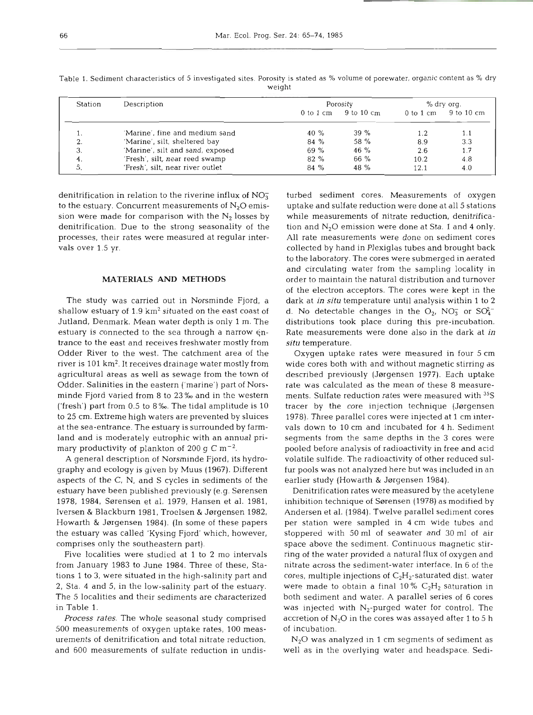| Station | Description                      | Porosity              |            | % dry org.    |            |
|---------|----------------------------------|-----------------------|------------|---------------|------------|
|         |                                  | $0$ to $1 \text{ cm}$ | 9 to 10 cm | $0$ to $1$ cm | 9 to 10 cm |
|         | 'Marine', fine and medium sand   | 40 %                  | $39 \%$    | 1.2           | 1.1        |
| z.      | 'Marine', silt, sheltered bay    | 84 %                  | 58 %       | 8.9           | 3.3        |
| 3.      | 'Marine', silt and sand, exposed | 69 %                  | $46\%$     | 2.6           | 1.7        |
| 4.      | 'Fresh', silt, near reed swamp   | 82 %                  | 66 %       | 10.2          | 4.8        |
|         | 'Fresh', silt, near river outlet | 84 %                  | 48 %       | 12.1          | 4.0        |

Table 1. Sediment characteristics of 5 investigated sites. Porosity is stated as % volume of porewater, organic content as % dry weight

denitrification in relation to the riverine influx of  $NO<sub>3</sub>$ sion were made for comparison with the  $N_2$  losses by while measurements of nitrate reduction, denitrificavals over 1.5 yr.

## MATERIALS AND METHODS

shallow estuary of 1.9 km<sup>2</sup> situated on the east coast of d. No detectable changes in the  $O_2$ , NO<sub>3</sub> or SO<sub>4</sub><sup>-</sup> Jutland, Denmark. Mean water depth is only 1 m. The distributions took place during this pre-incubation. trance to the east and receives freshwater mostly from situ temperature. Odder River to the west. The catchment area of the river is 101 km<sup>2</sup>. It receives drainage water mostly from wide cores both with and without magnetic stirring as agricultural areas as well as sewage from the town of Odder. Salinities in the eastern ('marine') part of Norsminde Fjord varied from 8 to 23 **Yw** and in the western ('fresh') part from 0.5 to 8 **%o.** The tidal amplitude is 10 to 25 cm. Extreme high waters are prevented by sluices at the sea-entrance. The estuary is surrounded by farmland and is moderately eutrophic with an annual pri-<br>segments from the same depths in the 3 cores were mary productivity of plankton of 200 g C  $\rm m^{-2}$ .

graphy and ecology is given by Muus (1967). Different aspects of the C, N, and S cycles in sediments of the earlier study (Howarth & Jørgensen 1984). estuary have been published previously (e.g. Sørensen 1978, 1984, Sørensen et al. 1979, Hansen et al. 1981, inhibition technique of Sørensen (1978) as modified by Iversen & Blackburn 1981, Troelsen & Jørgensen 1982, Andersen et al. (1984). Twelve parallel sediment cores Howarth & Jørgensen 1984). (In some of these papers per station were sampled in 4 cm wide tubes and the estuary was called 'Kysing Fjord' which, however, comprises only the southeastern part).

from January 1983 to June 1984. Three of these, Stations 1 to 3, were situated in the high-salinity part and cores, multiple injections of C<sub>2</sub>H<sub>2</sub>-saturated dist. water 2, Sta. 4 and 5, in the low-salinity part of the estuary. were made to obtain a final 10%  $C_2H_2$  saturation in The 5 localities and their sediments are characterized both sediment and water. A parallel series of 6 cores in Table **1.** 

500 measurements of oxygen uptake rates, 100 measurements of denitrification and total nitrate reduction, and 600 measurements of sulfate reduction in undis- well as in the overlying water and headspace. Sedi-

to the estuary. Concurrent measurements of  $N_2O$  emis-<br>uptake and sulfate reduction were done at all 5 stations denitrification. Due to the strong seasonality of the tion and  $N_2O$  emission were done at Sta. 1 and 4 only. processes, their rates were measured at regular inter-The study was carried out in Norsminde Fjord, a dark at in situ temperature until analysis within 1 to 2 estuary is connected to the sea through a narrow  $\epsilon$ n- Rate measurements were done also in the dark at in ed sediment cross. Measurements of oxygen<br>net add suddle sediment orces. Measurements of sitterns<br>and sulfate reduction were done at all 5 stations<br>and N<sub>2</sub>O emission were done at Stat. 1 and 4 only,<br>rarate measurements w

A general description of Norsminde Fjord, its hydro- volatile sulfide. The radioactivity of other reduced sul-

Five localities were studied at 1 to 2 mo intervals ring of the water provided a natural flux of oxygen and *Process rates.* The whole seasonal study comprised accretion of  $N_2O$  in the cores was assayed after 1 to 5 h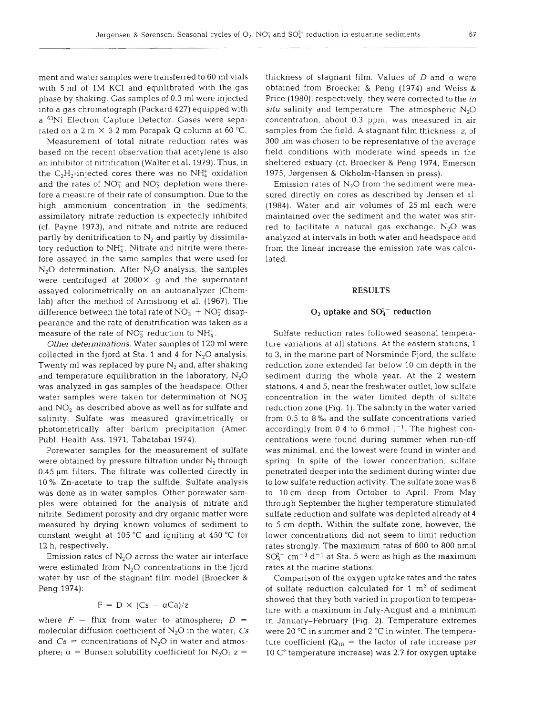ment and water samples were transferred to 60 m1 vials with 5 ml of 1M KCl and equilibrated with the gas phase by shaking. Gas samples of 0.3 ml were injected into a gas chromatograph (Packard 427) equipped with a 63Ni Electron Capture Detector. Gases were separated on a 2 m  $\times$  3.2 mm Porapak Q column at 60 °C.

Measurement of total nitrate reduction rates was based on the recent observation that acetylene is also an inhibitor of nitrification (Walter et al. 1979). Thus, in the  $C_2H_2$ -injected cores there was no NH $^+_4$  oxidation and the rates of  $NO<sub>3</sub><sup>-</sup>$  and  $NO<sub>2</sub><sup>-</sup>$  depletion were therefore a measure of their rate of consumption. Due to the high ammonium concentration in the sediments, assimilatory nitrate reduction is expectedly inhibited (cf. Payne 1973), and nitrate and nitrite are reduced partly by denitrification to  $N_2$  and partly by dissimilatory reduction to  $NH<sub>4</sub><sup>+</sup>$ . Nitrate and nitrite were therefore assayed in the same samples that were used for  $N_2O$  determination. After  $N_2O$  analysis, the samples were centrifuged at  $2000 \times g$  and the supernatant assayed colorimetrically on an autoanalyzer (Chemlab) after the method of Armstrong et al. (1967). The difference between the total rate of  $NO<sub>3</sub><sup>-</sup> + NO<sub>2</sub><sup>-</sup>$  disappearance and the rate of denitrification was taken as a measure of the rate of  $NO<sub>3</sub><sup>-</sup>$  reduction to  $NH<sub>4</sub><sup>+</sup>$ .

*Other determinations.* Water samples of 120 m1 were collected in the fjord at Sta. 1 and 4 for  $N_2O$  analysis. Twenty ml was replaced by pure  $N_2$  and, after shaking and temperature equilibration in the laboratory,  $N_2O$ was analyzed in gas samples of the headspace. Other water samples were taken for determination of  $NO<sub>3</sub>$ and  $NO<sub>2</sub><sup>-</sup>$  as described above as well as for sulfate and salinity. Sulfate was measured gravimetrically or photometrically after barium precipitation (Amer. Publ. Health Ass. 1971, Tabatabai 1974).

Porewater samples for the measurement of sulfate were obtained by pressure filtration under  $N_2$  through  $0.45 \mu m$  filters. The filtrate was collected directly in 10% Zn-acetate to trap the sulfide. Sulfate analysis was done as in water samples. Other porewater samples were obtained for the analysis of nitrate and nitrite. Sediment porosity and dry organic matter were measured by drying known volumes of sediment to constant weight at 105  $^{\circ}$ C and igniting at 450  $^{\circ}$ C for 12 h, respectively.

Emission rates of  $N<sub>2</sub>O$  across the water-air interface were estimated from  $N_2O$  concentrations in the fjord water by use of the stagnant film model (Broecker & Peng 1974):

$$
F = D \times (Cs - \alpha Ca)/z
$$

where  $F =$  flux from water to atmosphere;  $D =$ molecular diffusion coefficient of  $N_2O$  in the water;  $Cs$ and  $Ca =$  concentrations of N<sub>2</sub>O in water and atmosphere;  $\alpha$  = Bunsen solubility coefficient for N<sub>2</sub>O; z =

thickness of stagnant film. Values of  $D$  and  $\alpha$  were obtained from Broecker & Peng (1974) and Weiss & Price (1980), respectively; they were corrected to the *in situ* salinity and temperature. The atmospheric  $N_2O$ concentration, about 0.3 ppm, was measured in air samples from the field. A stagnant film thickness, z, of  $300 \mu m$  was chosen to be representative of the average field conditions wlth moderate wind speeds in the sheltered estuary (cf. Broecker & Peng 1974, Emerson 1975, Jørgensen & Okholm-Hansen in press).

Emission rates of  $N<sub>2</sub>O$  from the sediment were measured directly on cores as described by Jensen et al. (1984). Water and air volumes of 25 m1 each were maintained over the sediment and the water was stirred to facilitate a natural gas exchange.  $N_2O$  was analyzed at intervals in both water and headspace and from the linear increase the emission rate was calculated.

#### **RESULTS**

# $O_2$  uptake and  $SO_4^{2-}$  reduction

Sulfate reduction rates followed seasonal temperature variations at all stations. At the eastern stations, 1 to 3, in the marine part of Norsminde Fjord, the sulfate reduction zone extended far below 10 cm depth in the sediment during the whole year. At the 2 western stations, 4 and 5, near the freshwater outlet, low sulfate concentration in the water limited depth of sulfate reduction zone (Fig. 1). The salinity in the water varied from 0.5 to 8 %o and the sulfate concentrations varied accordingly from 0.4 to 6 mmol  $1^{-1}$ . The highest concentrations were found during summer when run-off was minimal, and the lowest were found in winter and spring. In spite of the lower concentration, sulfate penetrated deeper into the sediment during winter due to low sulfate reduction activity. The sulfate zone was 8 to l0 cm deep from October to April. From May through September the higher temperature stimulated sulfate reduction and sulfate was depleted already at 4 to 5 cm depth. Within the sulfate zone, however, the lower concentrations did not seem to limit reduction rates strongly. The maximum rates of 600 to 800 nmol  $SO_4^{2-}$  cm<sup>-3</sup> d<sup>-1</sup> at Sta. 5 were as high as the maximum rates at the marine stations.

Comparison of the oxygen uptake rates and the rates of sulfate reduction calculated for  $1 \text{ m}^2$  of sediment showed that they both varied in proportion to temperature with a maximum in July-August and a minimum in January-February (Fig. 2). Temperature extremes were 20 °C in summer and 2 °C in winter. The temperature coefficient ( $Q_{10}$  = the factor of rate increase per 10 C" temperature increase) was 2.7 for oxygen uptake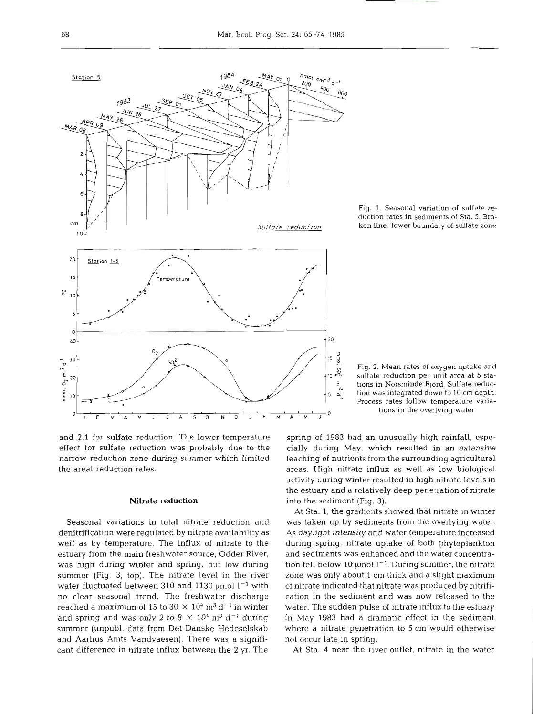

**Fig. 1. Seasonal variation of sulfate reduction rates in sediments of Sta. 5. Broken line: lower boundary of sulfate zone** 

and 2.1 for sulfate reduction. The lower temperature effect for sulfate reduction was probably due to the narrow reduction zone during summer which limited the areal reduction rates.

#### **Nitrate reduction**

Seasonal variations in total nitrate reduction and denitrification were regulated by nitrate availability as well as by temperature. The influx of nitrate to the estuary from the main freshwater source, Odder River, was high during winter and spring, but low during summer (Fig. **3,** top). The nitrate level in the river water fluctuated between 310 and 1130  $\mu$ mol  $1^{-1}$  with no clear seasonal trend. The freshwater discharge reached a maximum of 15 to  $30 \times 10^4$  m<sup>3</sup> d<sup>-1</sup> in winter and spring and was only 2 to  $8 \times 10^4$  m<sup>3</sup> d<sup>-1</sup> during summer (unpubl. data from Det Danske Hedeselskab and Aarhus Amts Vandvaesen). There was a significant difference in nitrate influx between the **2** yr. The

Fig. 2. Mean rates of oxygen uptake and sulfate reduction per unit area at 5 sta-**3, tions in Norsminde Fjord. Sulfate reduc**  tion was integrated down to 10 cm depth. **Process rates follow temperature variations in the overlying water** 

spring of 1983 had an unusually high rainfall, especially during May, which resulted in an extensive leaching of nutrients from the surrounding agricultural areas. High nitrate influx as well as low biological activity during winter resulted in high nitrate levels in the estuary and a relatively deep penetration of nitrate into the sediment (Fig. **3).** 

At Sta. 1, the gradients showed that nitrate in winter was taken up by sediments from the overlying water. As daylight intensity and water temperature increased during spring, nitrate uptake of both phytoplankton and sediments was enhanced and the water concentration fell below 10  $\mu$ mol  $l^{-1}$ . During summer, the nitrate zone was only about 1 cm thick and a slight maximum of nitrate indicated that nitrate was produced by nitrification in the sediment and was now released to the water. The sudden pulse of nitrate influx to the estuary in May 1983 had a dramatic effect in the sediment where a nitrate penetration to 5 cm would otherwise not occur late in spring.

At Sta. 4 near the river outlet, nitrate in the water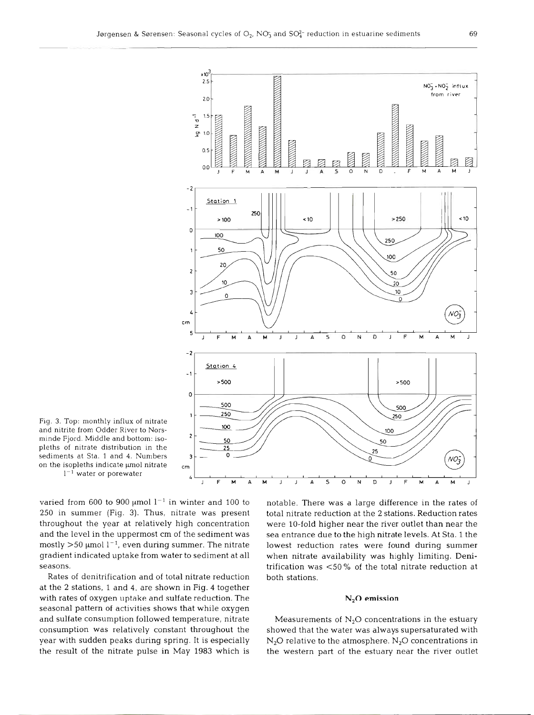

Fig. **3.** Top: monthly influx of nitrate and nitrite from Odder River to Norsminde Fjord. Middle and bottom: isopleths of nitrate distribution in the sediments at Sta. 1 and 4. Number on the isopleths indicate µmol nitrate  $1^{-1}$  water or porewater

varied from 600 to 900  $\mu$ mol  $1^{-1}$  in winter and 100 to 250 in summer (Fig. 3). Thus, nitrate was present throughout the year at relatively high concentration and the level in the uppermost cm of the sediment was mostly  $>50$  µmol l<sup>-1</sup>, even during summer. The nitrate gradient indicated uptake from water to sediment at all seasons.

Rates of denitrification and of total nitrate reduction at the 2 stations, 1 and 4, are shown in Fig. 4 together with rates of oxygen uptake and sulfate reduction. The seasonal pattern of activities shows that while oxygen and sulfate consumption followed temperature, nitrate consumption was relatively constant throughout the year with sudden peaks during spring. It is especially the result of the nitrate pulse in May 1983 which is

notable. There was a large difference in the rates of total nitrate reduction at the 2 stations. Reduction rate were 10-fold higher near the river outlet than near the sea entrance due to the high nitrate levels. At Sta. 1 the lowest reduction rates were found during summer when nitrate availability was highly limiting. Denitrification was  $<$ 50% of the total nitrate reduction a both stations.

### **N,O emission**

Measurements of  $N_2O$  concentrations in the estuary showed that the water was always supersaturated with  $N_2O$  relative to the atmosphere.  $N_2O$  concentrations in the western part of the estuary near the river outlet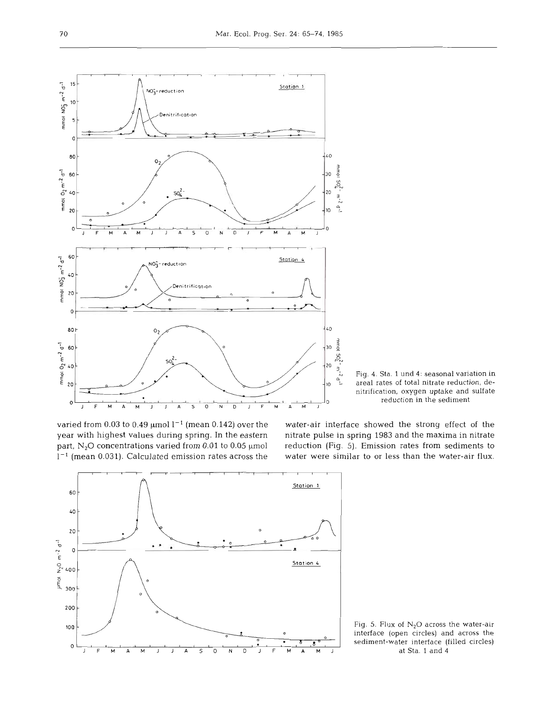

 $\int_{\frac{L}{L}}^{L}$  Fig. 4. Sta. 1 und 4: seasonal variation in areal rates of total nitrate reduction, deareal rates of total nitrate reduction, denitrification, oxygen uptake and sulfate reduction in the sediment

varied from 0.03 to 0.49  $\mu$ mol  $l^{-1}$  (mean 0.142) over the water-air interface showed the strong effect of the year with highest values during spring. In the eastern nitrate pulse in spring 1983 and the maxima in nitrate part, N<sub>2</sub>O concentrations varied from 0.01 to 0.05 µmol reduction (Fig. 5). Emission rates from sediments to

**1-l** (mean 0.031). Calculated emission rates across the water were similar to or less than the water-air flux.



Fig. 5. Flux of **N20** across the water-air interface (open circles) and across the sediment-water interface (filled circles) at Sta. 1 and **4**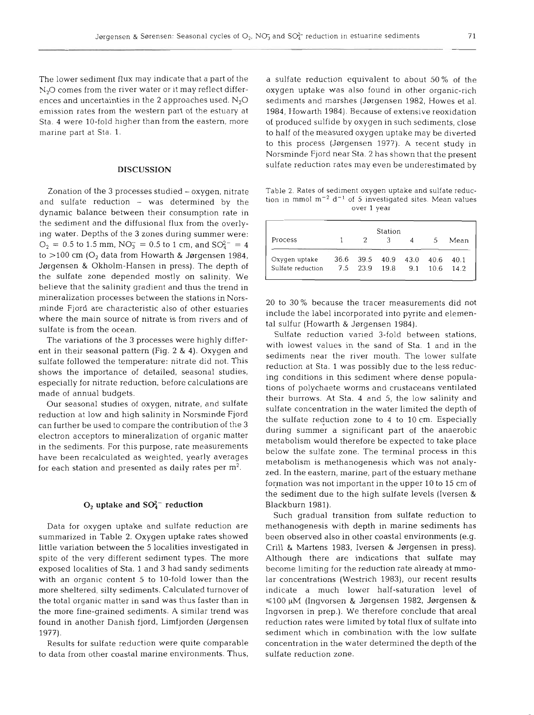The lower sediment flux may indicate that a part of the  $N<sub>2</sub>O$  comes from the river water or it may reflect differences and uncertainties in the 2 approaches used.  $N_2O$ emission rates from the western part of the estuary at Sta. **4** were 10-fold higher than from the eastern, more marine part at Sta. 1.

#### **DISCUSSION**

Zonation of the 3 processes studied – oxygen, nitrate and sulfate reduction - was determined by the dynamic balance between their consumption rate in the sediment and the diffusional flux from the overlying water. Depths of the 3 zones during summer were:  $O_2 = 0.5$  to 1.5 mm,  $NO_3^- = 0.5$  to 1 cm, and  $SO_4^{2-} = 4$ to  $>$ 100 cm ( $O<sub>2</sub>$  data from Howarth & Jørgensen 1984, Jørgensen & Okholm-Hansen in press). The depth of the sulfate zone depended mostly on salinity. We believe that the salinity gradient and thus the trend in mineralization processes between the stations in Norsminde Fjord are characteristic also of other estuaries where the main source of nitrate is from rivers and of sulfate is from the ocean.

The variations of the 3 processes were highly different in their seasonal pattern (Fig. 2 & **4).** Oxygen and sulfate followed the temperature: nitrate did not. This shows the importance of detailed, seasonal studies, especially for nitrate reduction, before calculations are made of annual budgets.

Our seasonal studies of oxygen, nitrate, and sulfate reduction at low and high salinity in Norsminde Fjord can further be used to compare the contribution of the 3 electron acceptors to mineralization of organic matter in the sediments. For this purpose, rate measurements have been recalculated as weighted, yearly averages for each station and presented as daily rates per m2.

# $O_2$  uptake and  $SO_4^{2-}$  reduction

Data for oxygen uptake and sulfate reduction are summarized in Table **2.** Oxygen uptake rates showed little variation between the **5** localities investigated in spite of the very different sediment types. The more exposed localities of Sta. **1** and **3** had sandy sediments with an organic content **5** to 10-fold lower than the more sheltered, silty sediments. Calculated turnover of the total organic matter in sand was thus faster than in the more fine-grained sediments. A similar trend was found in another Danish fjord, Limfjorden (Jørgensen 1977).

Results for sulfate reduction were quite comparable to data from other coastal marine environments. Thus, a sulfate reduction equivalent to about **50%** of the oxygen uptake was also found in other organic-rich sediments and marshes (Jørgensen 1982, Howes et al. **1984,** Howarth **1984).** Because of extensive reoxidation of produced sulfide by oxygen in such sediments, close to half of the measured oxygen uptake may be diverted to this process (Jørgensen 1977). A recent study in Norsminde Fjord near Sta. 2 has shown that the present sulfate reduction rates may even be underestimated by

Table 2. Rates of sediment oxygen uptake and sulfate reduction in mm01 **m-2** d-' of 5 investigated sites. Mean values over 1 year

| Station           |      |      |      |      |      |      |  |  |
|-------------------|------|------|------|------|------|------|--|--|
| Process           |      |      |      |      | 5    | Mean |  |  |
| Oxygen uptake     | 36.6 | 39.5 | 40.9 | 43.0 | 40.6 | 40.1 |  |  |
| Sulfate reduction | 7.5  | 23.9 | 19.8 | 9.1  | 10.6 | 14.2 |  |  |

20 to 30 % because the tracer measurements did not include the label incorporated into pyrite and elemental sulfur (Howarth & Jørgensen 1984).

Sulfate reduction varied 3-fold between stations, with lowest values in the sand of Sta. **1** and in the sediments near the river mouth. The lower sulfate reduction at Sta. **1** was possibly due to the less reducing conditions in this sediment where dense populations of polychaete worms and crustaceans ventilated their burrows. At Sta. **4** and 5, the low salinity and sulfate concentration in the water limited the depth of the sulfate reduction zone to **4** to 10 cm. Especially during summer a significant part of the anaerobic metabolism would therefore be expected to take place below the sulfate zone. The terminal process in this metabolism is methanogenesis which was not analyzed. In the eastern, marine, part of the estuary methane formation was not important in the upper 10 to **15** cm of the sediment due to the high sulfate levels (Iversen & Blackburn 1981).

Such gradual transition from sulfate reduction to methanogenesis with depth in marine sediments has been observed also in other coastal environments (e.g. Crill & Martens 1983, Iversen & Jørgensen in press). Although there are indications that sulfate may become limiting for the reduction rate already at mmolar concentrations (Westrich 1983), our recent results indicate a much lower half-saturation level of ≤100 µM (Ingvorsen & Jørgensen 1982, Jørgensen & Ingvorsen in prep.). We therefore conclude that area1 reduction rates were limited by total flux of sulfate into sediment which in combination with the low sulfate concentration in the water determined the depth of the sulfate reduction zone.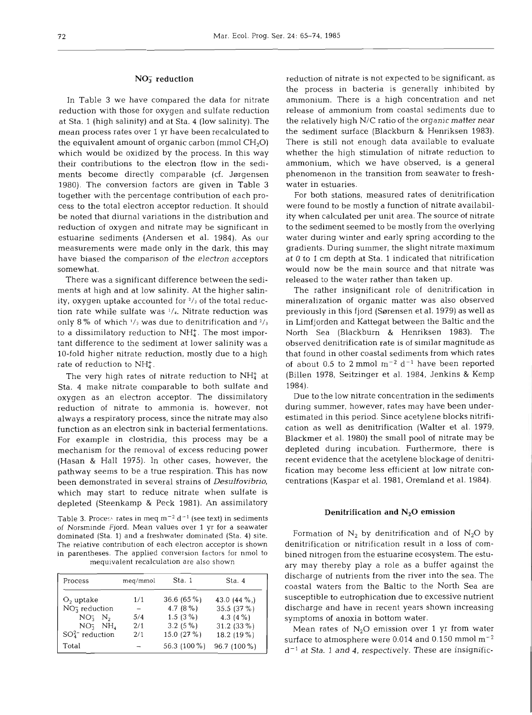#### $NO<sub>3</sub><sup>-</sup>$  reduction

In Table 3 we have compared the data for nitrate reduction with those for oxygen and sulfate reduction at Sta. 1 (high salinity) and at Sta. 4 (low salinity). The mean process rates over 1 **yr** have been recalculated to the equivalent amount of organic carbon (mmol  $CH<sub>2</sub>O$ ) which would be oxidized by the process. In this way their contributions to the electron flow in the sediments become directly comparable (cf. Jargensen 1980). The conversion factors are given in Table **3**  together with the percentage contribution of each process to the total electron acceptor reduction. It should be noted that diurnal variations in the distribution and reduction of oxygen and nitrate may be significant in estuarine sediments (Andersen et al. 1984). As our measurements were made only in the dark, this may have biased the comparison of the electron acceptors somewhat.

There was a significant difference between the sediments at high and at low salinity. At the higher salinity, oxygen uptake accounted for  $\frac{2}{3}$  of the total reduction rate while sulfate was **l/,.** Nitrate reduction was only 8 % of which **'/3** was due to denitrification and 2/3 to a dissimilatory reduction to  $NH<sub>4</sub><sup>+</sup>$ . The most important difference to the sediment at lower salinity was a 10-fold higher nitrate reduction, mostly due to a high rate of reduction to  $NH_4^+$ .

The very high rates of nitrate reduction to  $NH_4^+$  at Sta. 4 make nitrate comparable to both sulfate and oxygen as an electron acceptor. The dissimilatory reduction of nitrate to ammonia is, however, not always a respiratory process, since the nitrate may also function as an electron sink in bacterial fermentations. For example in clostridia, this process may be a mechanism for the removal of excess reducing power (Hasan & Hall 1975). In other cases, however, the pathway seems to be a true respiration. This has now been demonstrated in several strains of **Desulfovibrio,**  which may start to reduce nitrate when sulfate is depleted (Steenkamp & Peck 1981). An assimilatory

Table 3. Process rates in meq  $m^{-2} d^{-1}$  (see text) in sediments of Norsminde Fjord. Mean values over 1 yr for a seawater dominated (Sta. 1) and a freshwater dominated (Sta. 4) site. The relative contribution of each electron acceptor is shown in parentheses. The applied conversion factors for nmol to mequivalent recalculation are also shown

| Process               | meg/mmol | Sta. 1       | Sta. 4       |
|-----------------------|----------|--------------|--------------|
| $O2$ uptake           | 1/1      | $36.6(65\%)$ | 43.0 $(44\%$ |
| $NO3$ reduction       |          | 4.7 $(8\%)$  | 35.5(37%)    |
| $NO3$ $N2$            | 5/4      | 1.5 $(3\%)$  | 4.3 $(4\%)$  |
| $NO2$ $NH4$           | 2/1      | $3.2(5\%)$   | $31.2(33\%)$ |
| $SO_4^{2-}$ reduction | 2/1      | 15.0 (27 %)  | 18.2 (19%)   |
| Total                 |          | 56.3 (100 %) | 96.7 (100 %) |

reduction of nitrate is not expected to be significant, as the process in bacteria is generally inhibited by ammonium. There is a high concentration and net release of ammonium from coastal sediments due to the relatively high N/C ratio of the organic matter near the sediment surface (Blackburn & Henriksen 1983). There is still not enough data available to evaluate whether the high stimulation of nitrate reduction to ammonium, which we have observed, is a general phenomenon in the transition from seawater to freshwater in estuaries.

For both stations, measured rates of denitrification were found to be mostly a function of nitrate availability when calculated per unit area. The source of nitrate to the sediment seemed to be mostly from the overlying water during winter and early spring according to the gradients. During summer, the slight nitrate maximum at 0 to 1 cm depth at Sta. 1 indicated that nitrification would now be the main source and that nitrate was released to the water rather than taken up.

The rather insignificant role of denitrification in mineralization of organic matter was also observed previously in this fjord (Sørensen et al. 1979) as well as in Limfjorden and Kattegat between the Baltic and the North Sea (Blackbum & Henriksen 1983). The observed denitrification rate is of similar magnitude as that found in other coastal sediments from which rates of about 0.5 to 2 mmol  $m^{-2}$  d<sup>-1</sup> have been reported (Billen 1978, Seitzinger et al. 1984, Jenkins & Kemp 1984).

Due to the low nitrate concentration in the sediments during summer, however, rates may have been underestimated in this period. Since acetylene blocks nitrification as well as denitrification (Walter et al. 1979, Blackmer et al. 1980) the small pool of nitrate may be depleted during incubation. Furthermore, there is recent evidence that the acetylene blockage of denitrification may become less efficient at low nitrate concentrations (Kaspar et al. 1981, Oremland et al. 1984).

#### Denitrification and N<sub>2</sub>O emission

Formation of  $N_2$  by denitrification and of  $N_2O$  by denitrification or nitrification result in a loss of combined nitrogen from the estuarine ecosystem. The estuary may thereby play a role as a buffer against the discharge of nutrients from the river into the sea. The coastal waters from the Baltic to the North Sea are susceptible to eutrophication due to excessive nutrient discharge and have in recent years shown increasing symptoms of anoxia in bottom water.

Mean rates of  $N_2O$  emission over 1 yr from water surface to atmosphere were  $0.014$  and  $0.150$  mmol m<sup>-2</sup>  $d^{-1}$  at Sta. 1 and 4, respectively. These are insignific-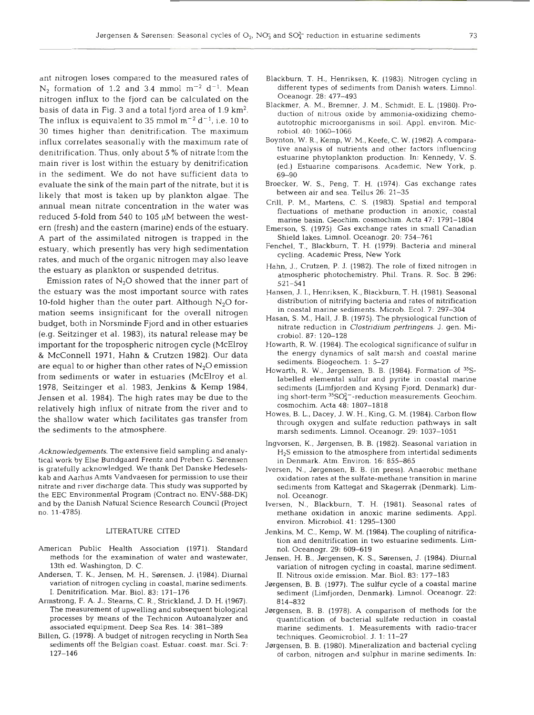ant nitrogen loses compared to the measured rates of  $N_2$  formation of 1.2 and 3.4 mmol m<sup>-2</sup> d<sup>-1</sup>. Mean nitrogen influx to the fjord can be calculated on the basis of data in Fig. 3 and a total fjord area of  $1.9 \text{ km}^2$ . The influx is equivalent to 35 mmol  $m^{-2} d^{-1}$ , i.e. 10 to 30 times higher than denitrification. The maximum influx correlates seasonally with the maximum rate of denitrification. Thus, only about 5 % of nitrate from the main river is lost within the estuary by denitrification in the sediment. We do not have sufficient data to evaluate the sink of the main part of the nitrate, but it is likely that most is taken up by plankton algae. The annual mean nitrate concentration in the water wa reduced 5-fold from 540 to 105  $\mu$ M between the western (fresh) and the eastern (marine) ends of the estuary. A part of the assimilated nitrogen is trapped in the estuary, which presently has very high sedimentation rates, and much of the organic nitrogen may also leave the estuary as plankton or suspended detritus.

Emission rates of  $N<sub>2</sub>O$  showed that the inner part of the estuary was the most important source with rates 10-fold higher than the outer part. Although  $N_2O$  formation seems insignificant for the overall nitrogen budget, both in Norsminde Fjord and in other estuaries (e.g. Seitzinger et al. 1983), its natural release may be important for the tropospheric nitrogen cycle (McElroy & McConnell 1971, Hahn & Crutzen 1982). Our data are equal to or higher than other rates of  $N_2O$  emission from sediments or water in estuaries (McElroy et al. 1978, Seitzinger et al. 1983, Jenkins & Kemp 1984, Jensen et al. 1984). The high rates may be due to the relatively high influx of nitrate from the river and to the shallow water which facilitates gas transfer from the sediments to the atmosphere.

*Acknowledgements.* The extensive field sampling and analytical work by Else Bundgaard Frentz and Preben G. Sørensen is gratefully acknowledged. We thank Det Danske Hedeselskab and Aarhus Amts Vandvaesen for permission to use their nitrate and river discharge data. This study was supported by the EEC Environmental Program (Contract no. ENV-588-DK) and by the Danish Natural Science Research Council (Project no. 11-4785).

#### LITERATURE CITED

- American Public Health Association (1971). Standard methods for the examination of water and wastewater, 13th ed. Washington, D. C.
- Andersen, T. K., Jensen, M. H., Sørensen, J. (1984). Diurnal variation of nitrogen cycling in coastal, marine sediments. I. Denitrification. Mar. Biol. 83: 171-176
- Armstrong, F. A. J., Steams, *C.* R., Strickland, J. D. H. (1967). The measurement of upwelling and subsequent biological processes by means of the Technicon Autoanalyzer and associated equipment. Deep Sea Res. 14: 381-389
- Billen, G. (1978). A budget of nitrogen recycling in North Sea sediments off the Belgian coast. Estuar. coast. mar. Sci. 7: 127-146
- Blackburn, T. H., Henriksen, K. (1983). Nitrogen cycling in different types of sediments from Danish waters. Limnol. Oceanogr. 28: 477-493
- Blackmer, A. M., Bremner, J. M., Schmidt, E. L. (1980). Production of nitrous oxide by ammonia-oxidizing chemoautotrophic microorganisms in soil. Appl. environ. Microbiol. 40: 1060-1066
- Boynton, W. R.. Kemp, W. M., Keefe, C. W. (1982). A comparative analysis of nutrients and other factors influencing estuarine phytoplankton production. In: Kennedy, V. S. (ed.) Estuarine comparisons. Academic, New York, p. 69-90
- Broecker, W. S.. Peng. T. H. (1974). Gas exchange rates between air and sea. Tellus 26: 21-35
- Crill, P. M,, Martens, C. S. (1983). Spatial and temporal fluctuations of methane production in anoxic, coastal marine basin. Geochim. cosmochim. Acta 47: 1791-1804
- Emerson, S. (1975). Gas exchange rates in small Canadian Shield lakes. Limnol. Oceanogr. 20: 754-761
- Fenchel, T., Blackburn, T. H. (1979). Bacteria and mineral cycling. Academic Press, New York
- Hahn, J., Crutzen, P. J. (1982). The role of fixed nitrogen in atmospheric photochemistry. Phil. Trans. R. Soc. B 296: 521-541
- Hansen, J. I., Henriksen, K., Blackburn, T. H. (1981). Seasonal distribution of nitrifying bacteria and rates of nitrification in coastal marine sediments. Microb. Ecol. 7: 297-304
- Hasan, S. M,, Hall, J. B. (1975). The physiological function of nitrate reduction in *Clostridiurn perfringens.* J. gen. Microbiol. 87: 120-128
- Howarth, R. W. (1984). The ecological significance of sulfur in the energy dynamics of salt marsh and coastal marine sediments. Biogeochem. 1: 5-27
- Howarth, R. W., Jørgensen, B. B. (1984). Formation of 35Slabelled elemental sulfur and pyrite in coastal marine sediments (Limfjorden and Kysing Fjord, Denmark) during short-term  ${}^{35}\mathrm{SO}_4^{2-}$ -reduction measurements. Geochim. cosmochim. Acta 48: 1807-1818
- Howes, B, L., Dacey, J. W. H., King, G. M. (1984). Carbon flow through oxygen and sulfate reduction pathways in salt marsh sediments. Limnol. Oceanogr. 29: 1037-1051
- Ingvorsen, K., Jørgensen, B. B. (1982). Seasonal variation in H2S emission to the atmosphere from intertidal sediments in Denmark. Atm. Environ. 16: 855–86
- Iversen, N., Jørgensen, B. B. (in press). Anaerobic methane oxidation rates at the sulfate-methane transition in marin sediments from Kattegat and Skagerrak (Denmark). Limnol. Oceanogr.
- Iversen, N., Blackburn, T. H. (1981). Seasonal rates of methane oxidation in anoxic marine sediments. Appl. environ. Microbiol. 41: 1295-1300
- Jenkins, M. C., Kemp, W. M. (1984). The coupling of nitrification and denitrification in two estuarine sediments. Limnol. Oceanogr. 29: 609–619
- Jensen, H. B., Jørgensen, K. S., Sørensen, J. (1984). Diurnal variation of nitrogen cycling in coastal, marine sediment. **11. Nitrous oxide emission. Mar. Biol. 83: 177–18**
- Jørgensen, B. B. (1977). The sulfur cycle of a coastal marine sediment (Limfjorden, Denmark). Limnol. Oceanogr. 22: 814-832
- Jørgensen, B. B. (1978). A comparison of methods for the quantification of bacterial sulfate reduction in coastal marine sediments. 1. Measurements with radio-trace techniques. Geomicrobiol. J. 1: 11-27
- Jørgensen, B. B. (1980). Mineralization and bacterial cycling of carbon, nitrogen and sulphur in marine sediments. In: